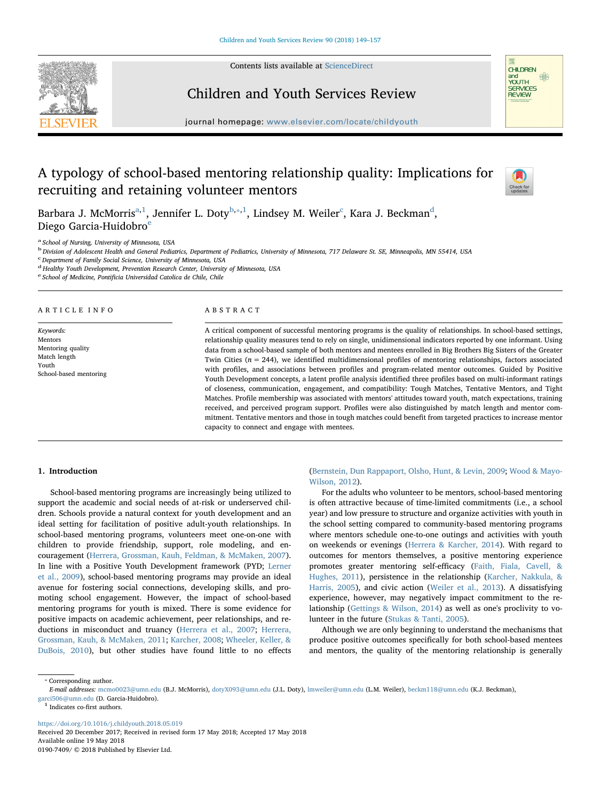Contents lists available at [ScienceDirect](http://www.sciencedirect.com/science/journal/01907409)





# Children and Youth Services Review

journal homepage: [www.elsevier.com/locate/childyouth](https://www.elsevier.com/locate/childyouth)

# A typology of school-based mentoring relationship quality: Implications for recruiting and retaining volunteer mentors



B[a](#page-0-0)rbara J. M[c](#page-0-4)Morris $^{\rm a,1}$  $^{\rm a,1}$  $^{\rm a,1}$ , Jennifer L. Doty $^{\rm b,*,1}$  $^{\rm b,*,1}$  $^{\rm b,*,1}$ , Lin[d](#page-0-5)sey M. Weiler $^{\rm c}$ , Kara J. Beckman $^{\rm d}$ , Di[e](#page-0-6)go Garcia-Huidobro<sup>e</sup>

<span id="page-0-0"></span><sup>a</sup> School of Nursing, University of Minnesota, USA

<span id="page-0-2"></span><sup>b</sup> Division of Adolescent Health and General Pediatrics, Department of Pediatrics, University of Minnesota, 717 Delaware St. SE, Minneapolis, MN 55414, USA

<span id="page-0-4"></span>c Department of Family Social Science, University of Minnesota, USA

<span id="page-0-5"></span><sup>d</sup> Healthy Youth Development, Prevention Research Center, University of Minnesota, USA

<span id="page-0-6"></span><sup>e</sup> School of Medicine, Pontificia Universidad Catolica de Chile, Chile

### ARTICLE INFO

Keywords: Mentors Mentoring quality Match length Youth School-based mentoring

# ABSTRACT

A critical component of successful mentoring programs is the quality of relationships. In school-based settings, relationship quality measures tend to rely on single, unidimensional indicators reported by one informant. Using data from a school-based sample of both mentors and mentees enrolled in Big Brothers Big Sisters of the Greater Twin Cities ( $n = 244$ ), we identified multidimensional profiles of mentoring relationships, factors associated with profiles, and associations between profiles and program-related mentor outcomes. Guided by Positive Youth Development concepts, a latent profile analysis identified three profiles based on multi-informant ratings of closeness, communication, engagement, and compatibility: Tough Matches, Tentative Mentors, and Tight Matches. Profile membership was associated with mentors' attitudes toward youth, match expectations, training received, and perceived program support. Profiles were also distinguished by match length and mentor commitment. Tentative mentors and those in tough matches could benefit from targeted practices to increase mentor capacity to connect and engage with mentees.

### 1. Introduction

School-based mentoring programs are increasingly being utilized to support the academic and social needs of at-risk or underserved children. Schools provide a natural context for youth development and an ideal setting for facilitation of positive adult-youth relationships. In school-based mentoring programs, volunteers meet one-on-one with children to provide friendship, support, role modeling, and encouragement ([Herrera, Grossman, Kauh, Feldman, & McMaken, 2007](#page-8-0)). In line with a Positive Youth Development framework (PYD; [Lerner](#page-8-1) [et al., 2009](#page-8-1)), school-based mentoring programs may provide an ideal avenue for fostering social connections, developing skills, and promoting school engagement. However, the impact of school-based mentoring programs for youth is mixed. There is some evidence for positive impacts on academic achievement, peer relationships, and reductions in misconduct and truancy [\(Herrera et al., 2007;](#page-8-0) [Herrera,](#page-8-2) [Grossman, Kauh, & McMaken, 2011;](#page-8-2) [Karcher, 2008](#page-8-3); [Wheeler, Keller, &](#page-8-4) [DuBois, 2010\)](#page-8-4), but other studies have found little to no effects ([Bernstein, Dun Rappaport, Olsho, Hunt, & Levin, 2009;](#page-8-5) [Wood & Mayo-](#page-8-6)[Wilson, 2012\)](#page-8-6).

For the adults who volunteer to be mentors, school-based mentoring is often attractive because of time-limited commitments (i.e., a school year) and low pressure to structure and organize activities with youth in the school setting compared to community-based mentoring programs where mentors schedule one-to-one outings and activities with youth on weekends or evenings ([Herrera & Karcher, 2014](#page-8-7)). With regard to outcomes for mentors themselves, a positive mentoring experience promotes greater mentoring self-efficacy ([Faith, Fiala, Cavell, &](#page-8-8) [Hughes, 2011\)](#page-8-8), persistence in the relationship [\(Karcher, Nakkula, &](#page-8-9) [Harris, 2005](#page-8-9)), and civic action ([Weiler et al., 2013](#page-8-10)). A dissatisfying experience, however, may negatively impact commitment to the relationship ([Gettings & Wilson, 2014](#page-8-11)) as well as one's proclivity to volunteer in the future ([Stukas & Tanti, 2005\)](#page-8-12).

Although we are only beginning to understand the mechanisms that produce positive outcomes specifically for both school-based mentees and mentors, the quality of the mentoring relationship is generally

<span id="page-0-3"></span>⁎ Corresponding author.

E-mail addresses: [mcmo0023@umn.edu](mailto:mcmo0023@umn.edu) (B.J. McMorris), [dotyX093@umn.edu](mailto:dotyX093@umn.edu) (J.L. Doty), [lmweiler@umn.edu](mailto:lmweiler@umn.edu) (L.M. Weiler), [beckm118@umn.edu](mailto:beckm118@umn.edu) (K.J. Beckman), [garci506@umn.edu](mailto:garci506@umn.edu) (D. Garcia-Huidobro).

<span id="page-0-1"></span><sup>1</sup> Indicates co-first authors.

<https://doi.org/10.1016/j.childyouth.2018.05.019>

Received 20 December 2017; Received in revised form 17 May 2018; Accepted 17 May 2018 Available online 19 May 2018 0190-7409/ © 2018 Published by Elsevier Ltd.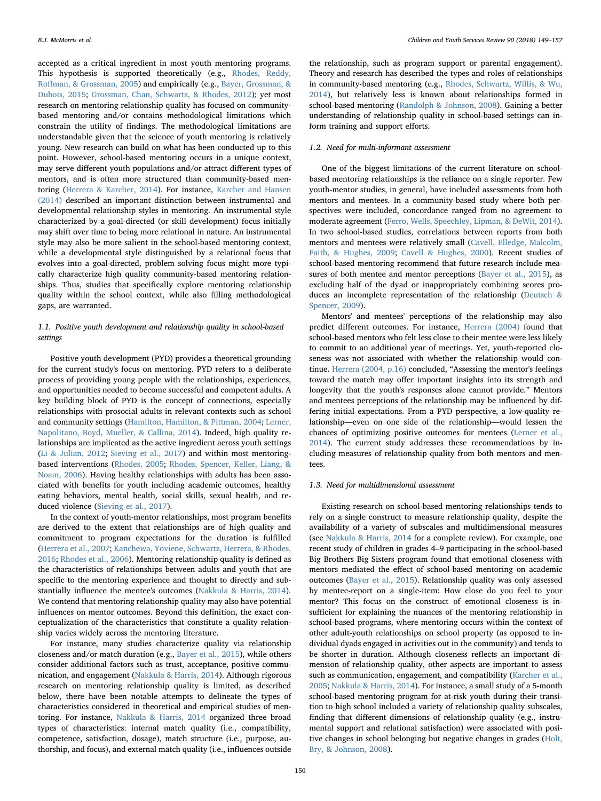accepted as a critical ingredient in most youth mentoring programs. This hypothesis is supported theoretically (e.g., [Rhodes, Reddy,](#page-8-13) Roff[man, & Grossman, 2005\)](#page-8-13) and empirically (e.g., [Bayer, Grossman, &](#page-8-14) [Dubois, 2015](#page-8-14); [Grossman, Chan, Schwartz, & Rhodes, 2012](#page-8-15)); yet most research on mentoring relationship quality has focused on communitybased mentoring and/or contains methodological limitations which constrain the utility of findings. The methodological limitations are understandable given that the science of youth mentoring is relatively young. New research can build on what has been conducted up to this point. However, school-based mentoring occurs in a unique context, may serve different youth populations and/or attract different types of mentors, and is often more structured than community-based mentoring [\(Herrera & Karcher, 2014](#page-8-7)). For instance, [Karcher and Hansen](#page-8-16) [\(2014\)](#page-8-16) described an important distinction between instrumental and developmental relationship styles in mentoring. An instrumental style characterized by a goal-directed (or skill development) focus initially may shift over time to being more relational in nature. An instrumental style may also be more salient in the school-based mentoring context, while a developmental style distinguished by a relational focus that evolves into a goal-directed, problem solving focus might more typically characterize high quality community-based mentoring relationships. Thus, studies that specifically explore mentoring relationship quality within the school context, while also filling methodological gaps, are warranted.

# 1.1. Positive youth development and relationship quality in school-based settings

Positive youth development (PYD) provides a theoretical grounding for the current study's focus on mentoring. PYD refers to a deliberate process of providing young people with the relationships, experiences, and opportunities needed to become successful and competent adults. A key building block of PYD is the concept of connections, especially relationships with prosocial adults in relevant contexts such as school and community settings ([Hamilton, Hamilton, & Pittman, 2004](#page-8-17); [Lerner,](#page-8-18) [Napolitano, Boyd, Mueller, & Callina, 2014\)](#page-8-18). Indeed, high quality relationships are implicated as the active ingredient across youth settings ([Li & Julian, 2012](#page-8-19); [Sieving et al., 2017\)](#page-8-20) and within most mentoringbased interventions [\(Rhodes, 2005](#page-8-21); [Rhodes, Spencer, Keller, Liang, &](#page-8-22) [Noam, 2006](#page-8-22)). Having healthy relationships with adults has been associated with benefits for youth including academic outcomes, healthy eating behaviors, mental health, social skills, sexual health, and reduced violence [\(Sieving et al., 2017\)](#page-8-20).

In the context of youth-mentor relationships, most program benefits are derived to the extent that relationships are of high quality and commitment to program expectations for the duration is fulfilled ([Herrera et al., 2007;](#page-8-0) [Kanchewa, Yoviene, Schwartz, Herrera, & Rhodes,](#page-8-23) [2016;](#page-8-23) [Rhodes et al., 2006\)](#page-8-22). Mentoring relationship quality is defined as the characteristics of relationships between adults and youth that are specific to the mentoring experience and thought to directly and substantially influence the mentee's outcomes ([Nakkula & Harris, 2014](#page-8-24)). We contend that mentoring relationship quality may also have potential influences on mentor outcomes. Beyond this definition, the exact conceptualization of the characteristics that constitute a quality relationship varies widely across the mentoring literature.

For instance, many studies characterize quality via relationship closeness and/or match duration (e.g., [Bayer et al., 2015\)](#page-8-14), while others consider additional factors such as trust, acceptance, positive communication, and engagement ([Nakkula & Harris, 2014](#page-8-24)). Although rigorous research on mentoring relationship quality is limited, as described below, there have been notable attempts to delineate the types of characteristics considered in theoretical and empirical studies of mentoring. For instance, [Nakkula & Harris, 2014](#page-8-24) organized three broad types of characteristics: internal match quality (i.e., compatibility, competence, satisfaction, dosage), match structure (i.e., purpose, authorship, and focus), and external match quality (i.e., influences outside

the relationship, such as program support or parental engagement). Theory and research has described the types and roles of relationships in community-based mentoring (e.g., [Rhodes, Schwartz, Willis, & Wu,](#page-8-25) [2014\)](#page-8-25), but relatively less is known about relationships formed in school-based mentoring [\(Randolph & Johnson, 2008\)](#page-8-26). Gaining a better understanding of relationship quality in school-based settings can inform training and support efforts.

# 1.2. Need for multi-informant assessment

One of the biggest limitations of the current literature on schoolbased mentoring relationships is the reliance on a single reporter. Few youth-mentor studies, in general, have included assessments from both mentors and mentees. In a community-based study where both perspectives were included, concordance ranged from no agreement to moderate agreement [\(Ferro, Wells, Speechley, Lipman, & DeWit, 2014](#page-8-27)). In two school-based studies, correlations between reports from both mentors and mentees were relatively small ([Cavell, Elledge, Malcolm,](#page-8-28) [Faith, & Hughes, 2009;](#page-8-28) [Cavell & Hughes, 2000\)](#page-8-29). Recent studies of school-based mentoring recommend that future research include measures of both mentee and mentor perceptions [\(Bayer et al., 2015](#page-8-14)), as excluding half of the dyad or inappropriately combining scores produces an incomplete representation of the relationship [\(Deutsch &](#page-8-30) [Spencer, 2009](#page-8-30)).

Mentors' and mentees' perceptions of the relationship may also predict different outcomes. For instance, [Herrera \(2004\)](#page-8-31) found that school-based mentors who felt less close to their mentee were less likely to commit to an additional year of meetings. Yet, youth-reported closeness was not associated with whether the relationship would continue. [Herrera \(2004, p.16\)](#page-8-31) concluded, "Assessing the mentor's feelings toward the match may offer important insights into its strength and longevity that the youth's responses alone cannot provide." Mentors and mentees perceptions of the relationship may be influenced by differing initial expectations. From a PYD perspective, a low-quality relationship—even on one side of the relationship—would lessen the chances of optimizing positive outcomes for mentees ([Lerner et al.,](#page-8-18) [2014\)](#page-8-18). The current study addresses these recommendations by including measures of relationship quality from both mentors and mentees.

#### 1.3. Need for multidimensional assessment

Existing research on school-based mentoring relationships tends to rely on a single construct to measure relationship quality, despite the availability of a variety of subscales and multidimensional measures (see [Nakkula & Harris, 2014](#page-8-24) for a complete review). For example, one recent study of children in grades 4–9 participating in the school-based Big Brothers Big Sisters program found that emotional closeness with mentors mediated the effect of school-based mentoring on academic outcomes [\(Bayer et al., 2015\)](#page-8-14). Relationship quality was only assessed by mentee-report on a single-item: How close do you feel to your mentor? This focus on the construct of emotional closeness is insufficient for explaining the nuances of the mentoring relationship in school-based programs, where mentoring occurs within the context of other adult-youth relationships on school property (as opposed to individual dyads engaged in activities out in the community) and tends to be shorter in duration. Although closeness reflects an important dimension of relationship quality, other aspects are important to assess such as communication, engagement, and compatibility [\(Karcher et al.,](#page-8-9) [2005;](#page-8-9) [Nakkula & Harris, 2014](#page-8-24)). For instance, a small study of a 5-month school-based mentoring program for at-risk youth during their transition to high school included a variety of relationship quality subscales, finding that different dimensions of relationship quality (e.g., instrumental support and relational satisfaction) were associated with positive changes in school belonging but negative changes in grades [\(Holt,](#page-8-32) [Bry, & Johnson, 2008](#page-8-32)).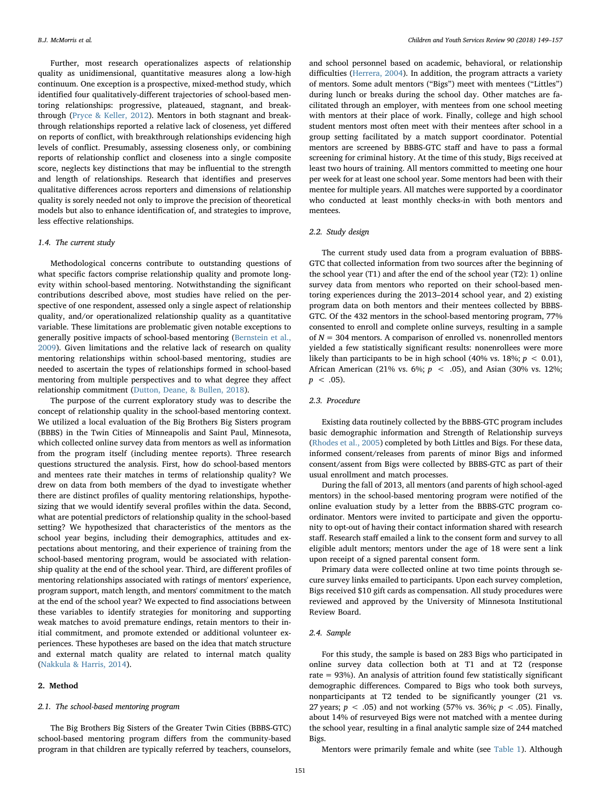Further, most research operationalizes aspects of relationship quality as unidimensional, quantitative measures along a low-high continuum. One exception is a prospective, mixed-method study, which identified four qualitatively-different trajectories of school-based mentoring relationships: progressive, plateaued, stagnant, and breakthrough ([Pryce & Keller, 2012](#page-8-33)). Mentors in both stagnant and breakthrough relationships reported a relative lack of closeness, yet differed on reports of conflict, with breakthrough relationships evidencing high levels of conflict. Presumably, assessing closeness only, or combining reports of relationship conflict and closeness into a single composite score, neglects key distinctions that may be influential to the strength and length of relationships. Research that identifies and preserves qualitative differences across reporters and dimensions of relationship quality is sorely needed not only to improve the precision of theoretical models but also to enhance identification of, and strategies to improve, less effective relationships.

## 1.4. The current study

Methodological concerns contribute to outstanding questions of what specific factors comprise relationship quality and promote longevity within school-based mentoring. Notwithstanding the significant contributions described above, most studies have relied on the perspective of one respondent, assessed only a single aspect of relationship quality, and/or operationalized relationship quality as a quantitative variable. These limitations are problematic given notable exceptions to generally positive impacts of school-based mentoring ([Bernstein et al.,](#page-8-5) [2009\)](#page-8-5). Given limitations and the relative lack of research on quality mentoring relationships within school-based mentoring, studies are needed to ascertain the types of relationships formed in school-based mentoring from multiple perspectives and to what degree they affect relationship commitment ([Dutton, Deane, & Bullen, 2018](#page-8-34)).

The purpose of the current exploratory study was to describe the concept of relationship quality in the school-based mentoring context. We utilized a local evaluation of the Big Brothers Big Sisters program (BBBS) in the Twin Cities of Minneapolis and Saint Paul, Minnesota, which collected online survey data from mentors as well as information from the program itself (including mentee reports). Three research questions structured the analysis. First, how do school-based mentors and mentees rate their matches in terms of relationship quality? We drew on data from both members of the dyad to investigate whether there are distinct profiles of quality mentoring relationships, hypothesizing that we would identify several profiles within the data. Second, what are potential predictors of relationship quality in the school-based setting? We hypothesized that characteristics of the mentors as the school year begins, including their demographics, attitudes and expectations about mentoring, and their experience of training from the school-based mentoring program, would be associated with relationship quality at the end of the school year. Third, are different profiles of mentoring relationships associated with ratings of mentors' experience, program support, match length, and mentors' commitment to the match at the end of the school year? We expected to find associations between these variables to identify strategies for monitoring and supporting weak matches to avoid premature endings, retain mentors to their initial commitment, and promote extended or additional volunteer experiences. These hypotheses are based on the idea that match structure and external match quality are related to internal match quality ([Nakkula & Harris, 2014](#page-8-24)).

## 2. Method

#### 2.1. The school-based mentoring program

The Big Brothers Big Sisters of the Greater Twin Cities (BBBS-GTC) school-based mentoring program differs from the community-based program in that children are typically referred by teachers, counselors,

and school personnel based on academic, behavioral, or relationship difficulties ([Herrera, 2004](#page-8-31)). In addition, the program attracts a variety of mentors. Some adult mentors ("Bigs") meet with mentees ("Littles") during lunch or breaks during the school day. Other matches are facilitated through an employer, with mentees from one school meeting with mentors at their place of work. Finally, college and high school student mentors most often meet with their mentees after school in a group setting facilitated by a match support coordinator. Potential mentors are screened by BBBS-GTC staff and have to pass a formal screening for criminal history. At the time of this study, Bigs received at least two hours of training. All mentors committed to meeting one hour per week for at least one school year. Some mentors had been with their mentee for multiple years. All matches were supported by a coordinator who conducted at least monthly checks-in with both mentors and mentees.

# 2.2. Study design

The current study used data from a program evaluation of BBBS-GTC that collected information from two sources after the beginning of the school year (T1) and after the end of the school year (T2): 1) online survey data from mentors who reported on their school-based mentoring experiences during the 2013–2014 school year, and 2) existing program data on both mentors and their mentees collected by BBBS-GTC. Of the 432 mentors in the school-based mentoring program, 77% consented to enroll and complete online surveys, resulting in a sample of  $N = 304$  mentors. A comparison of enrolled vs. nonenrolled mentors yielded a few statistically significant results: nonenrollees were more likely than participants to be in high school (40% vs. 18%;  $p < 0.01$ ), African American (21% vs. 6%;  $p < .05$ ), and Asian (30% vs. 12%;  $p < .05$ ).

# 2.3. Procedure

Existing data routinely collected by the BBBS-GTC program includes basic demographic information and Strength of Relationship surveys ([Rhodes et al., 2005\)](#page-8-13) completed by both Littles and Bigs. For these data, informed consent/releases from parents of minor Bigs and informed consent/assent from Bigs were collected by BBBS-GTC as part of their usual enrollment and match processes.

During the fall of 2013, all mentors (and parents of high school-aged mentors) in the school-based mentoring program were notified of the online evaluation study by a letter from the BBBS-GTC program coordinator. Mentors were invited to participate and given the opportunity to opt-out of having their contact information shared with research staff. Research staff emailed a link to the consent form and survey to all eligible adult mentors; mentors under the age of 18 were sent a link upon receipt of a signed parental consent form.

Primary data were collected online at two time points through secure survey links emailed to participants. Upon each survey completion, Bigs received \$10 gift cards as compensation. All study procedures were reviewed and approved by the University of Minnesota Institutional Review Board.

# 2.4. Sample

For this study, the sample is based on 283 Bigs who participated in online survey data collection both at T1 and at T2 (response rate = 93%). An analysis of attrition found few statistically significant demographic differences. Compared to Bigs who took both surveys, nonparticipants at T2 tended to be significantly younger (21 vs. 27 years;  $p < .05$ ) and not working (57% vs. 36%;  $p < .05$ ). Finally, about 14% of resurveyed Bigs were not matched with a mentee during the school year, resulting in a final analytic sample size of 244 matched Bigs.

Mentors were primarily female and white (see [Table 1\)](#page-3-0). Although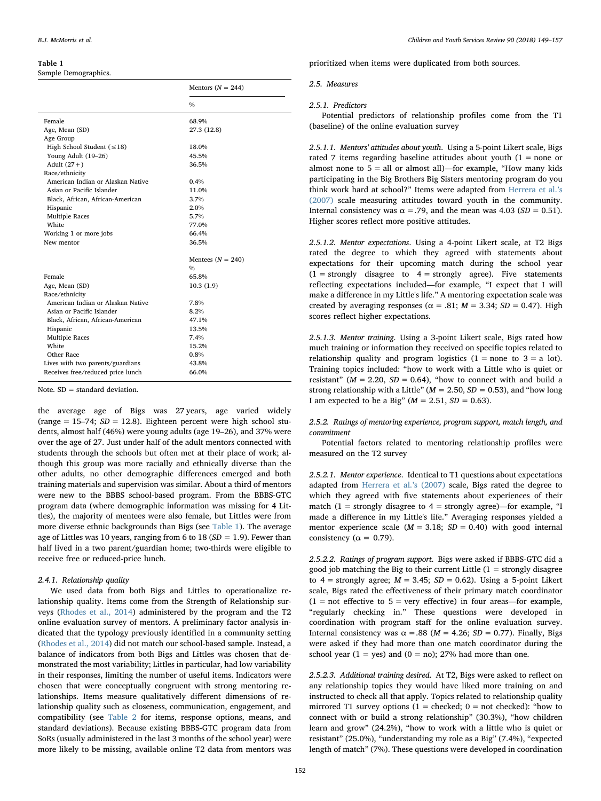#### <span id="page-3-0"></span>Table 1

Sample Demographics.

|                                   | Mentors $(N = 244)$ |
|-----------------------------------|---------------------|
|                                   | $\frac{0}{0}$       |
| Female                            | 68.9%               |
| Age, Mean (SD)                    | 27.3 (12.8)         |
| Age Group                         |                     |
| High School Student $( \leq 18)$  | 18.0%               |
| Young Adult (19-26)               | 45.5%               |
| Adult $(27+)$                     | 36.5%               |
| Race/ethnicity                    |                     |
| American Indian or Alaskan Native | 0.4%                |
| Asian or Pacific Islander         | 11.0%               |
| Black, African, African-American  | 3.7%                |
| Hispanic                          | 2.0%                |
| Multiple Races                    | 5.7%                |
| White                             | 77.0%               |
| Working 1 or more jobs            | 66.4%               |
| New mentor                        | 36.5%               |
|                                   | Mentees $(N = 240)$ |
|                                   | $\frac{0}{0}$       |
| Female                            | 65.8%               |
| Age, Mean (SD)                    | 10.3(1.9)           |
| Race/ethnicity                    |                     |
| American Indian or Alaskan Native | 7.8%                |
| Asian or Pacific Islander         | 8.2%                |
| Black, African, African-American  | 47.1%               |
| Hispanic                          | 13.5%               |
| <b>Multiple Races</b>             | 7.4%                |
| White                             | 15.2%               |
| Other Race                        | 0.8%                |
| Lives with two parents/guardians  | 43.8%               |
| Receives free/reduced price lunch | 66.0%               |

Note. SD = standard deviation.

the average age of Bigs was 27 years, age varied widely (range = 15-74;  $SD = 12.8$ ). Eighteen percent were high school students, almost half (46%) were young adults (age 19–26), and 37% were over the age of 27. Just under half of the adult mentors connected with students through the schools but often met at their place of work; although this group was more racially and ethnically diverse than the other adults, no other demographic differences emerged and both training materials and supervision was similar. About a third of mentors were new to the BBBS school-based program. From the BBBS-GTC program data (where demographic information was missing for 4 Littles), the majority of mentees were also female, but Littles were from more diverse ethnic backgrounds than Bigs (see [Table 1](#page-3-0)). The average age of Littles was 10 years, ranging from 6 to 18 ( $SD = 1.9$ ). Fewer than half lived in a two parent/guardian home; two-thirds were eligible to receive free or reduced-price lunch.

# 2.4.1. Relationship quality

We used data from both Bigs and Littles to operationalize relationship quality. Items come from the Strength of Relationship surveys ([Rhodes et al., 2014](#page-8-25)) administered by the program and the T2 online evaluation survey of mentors. A preliminary factor analysis indicated that the typology previously identified in a community setting ([Rhodes et al., 2014](#page-8-25)) did not match our school-based sample. Instead, a balance of indicators from both Bigs and Littles was chosen that demonstrated the most variability; Littles in particular, had low variability in their responses, limiting the number of useful items. Indicators were chosen that were conceptually congruent with strong mentoring relationships. Items measure qualitatively different dimensions of relationship quality such as closeness, communication, engagement, and compatibility (see [Table 2](#page-4-0) for items, response options, means, and standard deviations). Because existing BBBS-GTC program data from SoRs (usually administered in the last 3 months of the school year) were more likely to be missing, available online T2 data from mentors was prioritized when items were duplicated from both sources.

# 2.5. Measures

#### 2.5.1. Predictors

Potential predictors of relationship profiles come from the T1 (baseline) of the online evaluation survey

2.5.1.1. Mentors' attitudes about youth. Using a 5-point Likert scale, Bigs rated 7 items regarding baseline attitudes about youth  $(1 = none$  or almost none to  $5 = all$  or almost all  $-$  for example. "How many kids participating in the Big Brothers Big Sisters mentoring program do you think work hard at school?" Items were adapted from [Herrera et al.](#page-8-0)'s [\(2007\)](#page-8-0) scale measuring attitudes toward youth in the community. Internal consistency was  $\alpha = .79$ , and the mean was 4.03 (SD = 0.51). Higher scores reflect more positive attitudes.

2.5.1.2. Mentor expectations. Using a 4-point Likert scale, at T2 Bigs rated the degree to which they agreed with statements about expectations for their upcoming match during the school year  $(1 =$  strongly disagree to  $4 =$  strongly agree). Five statements reflecting expectations included—for example, "I expect that I will make a difference in my Little's life." A mentoring expectation scale was created by averaging responses ( $\alpha$  = .81;  $M$  = 3.34;  $SD$  = 0.47). High scores reflect higher expectations.

2.5.1.3. Mentor training. Using a 3-point Likert scale, Bigs rated how much training or information they received on specific topics related to relationship quality and program logistics  $(1 = none to 3 = a lot)$ . Training topics included: "how to work with a Little who is quiet or resistant" ( $M = 2.20$ ,  $SD = 0.64$ ), "how to connect with and build a strong relationship with a Little" ( $M = 2.50$ ,  $SD = 0.53$ ), and "how long I am expected to be a Big" ( $M = 2.51$ ,  $SD = 0.63$ ).

2.5.2. Ratings of mentoring experience, program support, match length, and commitment

Potential factors related to mentoring relationship profiles were measured on the T2 survey

2.5.2.1. Mentor experience. Identical to T1 questions about expectations adapted from [Herrera et al.](#page-8-0)'s (2007) scale, Bigs rated the degree to which they agreed with five statements about experiences of their match (1 = strongly disagree to  $4$  = strongly agree)—for example, "I made a difference in my Little's life." Averaging responses yielded a mentor experience scale ( $M = 3.18$ ;  $SD = 0.40$ ) with good internal consistency ( $\alpha = 0.79$ ).

2.5.2.2. Ratings of program support. Bigs were asked if BBBS-GTC did a good job matching the Big to their current Little  $(1 =$  strongly disagree to  $4 =$  strongly agree;  $M = 3.45$ ;  $SD = 0.62$ ). Using a 5-point Likert scale, Bigs rated the effectiveness of their primary match coordinator  $(1 = not effective to 5 = very effective)$  in four areas—for example, "regularly checking in." These questions were developed in coordination with program staff for the online evaluation survey. Internal consistency was  $\alpha = .88$  ( $M = 4.26$ ;  $SD = 0.77$ ). Finally, Bigs were asked if they had more than one match coordinator during the school year  $(1 = yes)$  and  $(0 = no)$ ; 27% had more than one.

2.5.2.3. Additional training desired. At T2, Bigs were asked to reflect on any relationship topics they would have liked more training on and instructed to check all that apply. Topics related to relationship quality mirrored T1 survey options  $(1 = \text{checked}; 0 = \text{not checked})$ : "how to connect with or build a strong relationship" (30.3%), "how children learn and grow" (24.2%), "how to work with a little who is quiet or resistant" (25.0%), "understanding my role as a Big" (7.4%), "expected length of match" (7%). These questions were developed in coordination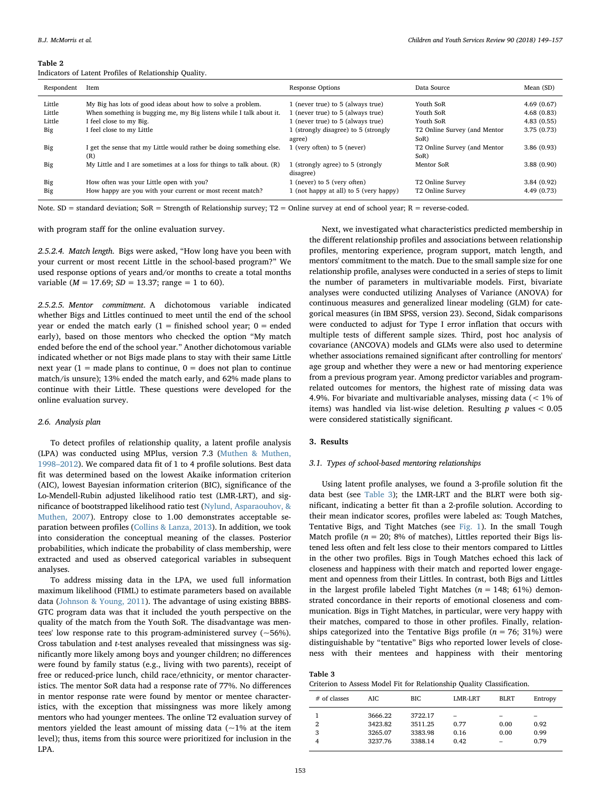#### <span id="page-4-0"></span>Table 2

Indicators of Latent Profiles of Relationship Quality.

| Respondent | Item                                                                        | <b>Response Options</b>                        | Data Source                          | Mean (SD)   |
|------------|-----------------------------------------------------------------------------|------------------------------------------------|--------------------------------------|-------------|
| Little     | My Big has lots of good ideas about how to solve a problem.                 | 1 (never true) to 5 (always true)              | Youth SoR                            | 4.69(0.67)  |
| Little     | When something is bugging me, my Big listens while I talk about it.         | 1 (never true) to 5 (always true)              | Youth SoR                            | 4.68(0.83)  |
| Little     | I feel close to my Big.                                                     | 1 (never true) to 5 (always true)              | Youth SoR                            | 4.83(0.55)  |
| Big        | I feel close to my Little                                                   | 1 (strongly disagree) to 5 (strongly<br>agree) | T2 Online Survey (and Mentor<br>SoR) | 3.75(0.73)  |
| Big        | I get the sense that my Little would rather be doing something else.<br>(R) | 1 (very often) to 5 (never)                    | T2 Online Survey (and Mentor<br>SoR) | 3.86(0.93)  |
| Big        | My Little and I are sometimes at a loss for things to talk about. (R)       | (strongly agree) to 5 (strongly<br>disagree)   | Mentor SoR                           | 3.88(0.90)  |
| Big        | How often was your Little open with you?                                    | 1 (never) to 5 (very often)                    | T2 Online Survey                     | 3.84 (0.92) |
| Big        | How happy are you with your current or most recent match?                   | 1 (not happy at all) to 5 (very happy)         | T2 Online Survey                     | 4.49 (0.73) |

Note.  $SD =$  standard deviation;  $SOR =$  Strength of Relationship survey;  $T2 =$  Online survey at end of school year; R = reverse-coded.

with program staff for the online evaluation survey.

2.5.2.4. Match length. Bigs were asked, "How long have you been with your current or most recent Little in the school-based program?" We used response options of years and/or months to create a total months variable ( $M = 17.69$ ;  $SD = 13.37$ ; range = 1 to 60).

2.5.2.5. Mentor commitment. A dichotomous variable indicated whether Bigs and Littles continued to meet until the end of the school year or ended the match early  $(1 = \text{finished school year}; 0 = \text{ended}$ early), based on those mentors who checked the option "My match ended before the end of the school year." Another dichotomous variable indicated whether or not Bigs made plans to stay with their same Little next year  $(1 =$  made plans to continue,  $0 =$  does not plan to continue match/is unsure); 13% ended the match early, and 62% made plans to continue with their Little. These questions were developed for the online evaluation survey.

## 2.6. Analysis plan

To detect profiles of relationship quality, a latent profile analysis (LPA) was conducted using MPlus, version 7.3 [\(Muthen & Muthen,](#page-8-35) [1998](#page-8-35)–2012). We compared data fit of 1 to 4 profile solutions. Best data fit was determined based on the lowest Akaike information criterion (AIC), lowest Bayesian information criterion (BIC), significance of the Lo-Mendell-Rubin adjusted likelihood ratio test (LMR-LRT), and significance of bootstrapped likelihood ratio test [\(Nylund, Asparaouhov, &](#page-8-36) [Muthen, 2007\)](#page-8-36). Entropy close to 1.00 demonstrates acceptable separation between profiles ([Collins & Lanza, 2013\)](#page-8-37). In addition, we took into consideration the conceptual meaning of the classes. Posterior probabilities, which indicate the probability of class membership, were extracted and used as observed categorical variables in subsequent analyses.

To address missing data in the LPA, we used full information maximum likelihood (FIML) to estimate parameters based on available data ([Johnson & Young, 2011](#page-8-38)). The advantage of using existing BBBS-GTC program data was that it included the youth perspective on the quality of the match from the Youth SoR. The disadvantage was mentees' low response rate to this program-administered survey (~56%). Cross tabulation and t-test analyses revealed that missingness was significantly more likely among boys and younger children; no differences were found by family status (e.g., living with two parents), receipt of free or reduced-price lunch, child race/ethnicity, or mentor characteristics. The mentor SoR data had a response rate of 77%. No differences in mentor response rate were found by mentor or mentee characteristics, with the exception that missingness was more likely among mentors who had younger mentees. The online T2 evaluation survey of mentors yielded the least amount of missing data  $(-1)$ % at the item level); thus, items from this source were prioritized for inclusion in the LPA.

Next, we investigated what characteristics predicted membership in the different relationship profiles and associations between relationship profiles, mentoring experience, program support, match length, and mentors' commitment to the match. Due to the small sample size for one relationship profile, analyses were conducted in a series of steps to limit the number of parameters in multivariable models. First, bivariate analyses were conducted utilizing Analyses of Variance (ANOVA) for continuous measures and generalized linear modeling (GLM) for categorical measures (in IBM SPSS, version 23). Second, Sidak comparisons were conducted to adjust for Type I error inflation that occurs with multiple tests of different sample sizes. Third, post hoc analysis of covariance (ANCOVA) models and GLMs were also used to determine whether associations remained significant after controlling for mentors' age group and whether they were a new or had mentoring experience from a previous program year. Among predictor variables and programrelated outcomes for mentors, the highest rate of missing data was 4.9%. For bivariate and multivariable analyses, missing data  $\zeta$  = 1% of items) was handled via list-wise deletion. Resulting  $p$  values  $< 0.05$ were considered statistically significant.

#### 3. Results

#### 3.1. Types of school-based mentoring relationships

Using latent profile analyses, we found a 3-profile solution fit the data best (see [Table 3](#page-4-1)); the LMR-LRT and the BLRT were both significant, indicating a better fit than a 2-profile solution. According to their mean indicator scores, profiles were labeled as: Tough Matches, Tentative Bigs, and Tight Matches (see [Fig. 1](#page-5-0)). In the small Tough Match profile ( $n = 20$ ; 8% of matches), Littles reported their Bigs listened less often and felt less close to their mentors compared to Littles in the other two profiles. Bigs in Tough Matches echoed this lack of closeness and happiness with their match and reported lower engagement and openness from their Littles. In contrast, both Bigs and Littles in the largest profile labeled Tight Matches ( $n = 148$ ; 61%) demonstrated concordance in their reports of emotional closeness and communication. Bigs in Tight Matches, in particular, were very happy with their matches, compared to those in other profiles. Finally, relationships categorized into the Tentative Bigs profile ( $n = 76$ ; 31%) were distinguishable by "tentative" Bigs who reported lower levels of closeness with their mentees and happiness with their mentoring

<span id="page-4-1"></span>

| Table 3 |  |                                                                        |  |
|---------|--|------------------------------------------------------------------------|--|
|         |  | Criterion to Assess Model Fit for Relationship Quality Classification. |  |

| $#$ of classes | AIC.    | BIC.    | LMR-LRT                  | <b>BLRT</b>              | Entropy                  |
|----------------|---------|---------|--------------------------|--------------------------|--------------------------|
|                | 3666.22 | 3722.17 | $\overline{\phantom{0}}$ | $\overline{\phantom{a}}$ | $\overline{\phantom{a}}$ |
| 2              | 3423.82 | 3511.25 | 0.77                     | 0.00                     | 0.92                     |
| 3              | 3265.07 | 3383.98 | 0.16                     | 0.00                     | 0.99                     |
| 4              | 3237.76 | 3388.14 | 0.42                     | $\overline{\phantom{0}}$ | 0.79                     |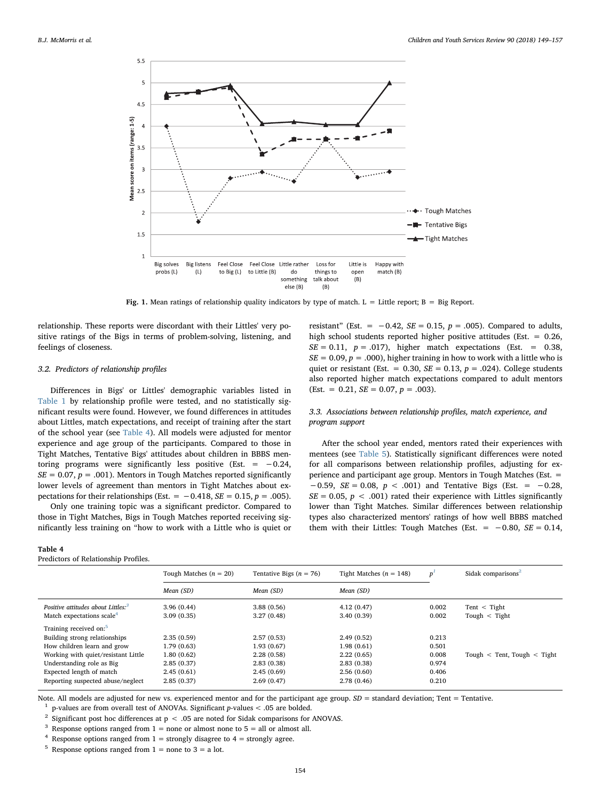<span id="page-5-0"></span>

Fig. 1. Mean ratings of relationship quality indicators by type of match.  $L =$  Little report;  $B =$  Big Report.

relationship. These reports were discordant with their Littles' very positive ratings of the Bigs in terms of problem-solving, listening, and feelings of closeness.

## 3.2. Predictors of relationship profiles

Differences in Bigs' or Littles' demographic variables listed in [Table 1](#page-3-0) by relationship profile were tested, and no statistically significant results were found. However, we found differences in attitudes about Littles, match expectations, and receipt of training after the start of the school year (see [Table 4\)](#page-5-1). All models were adjusted for mentor experience and age group of the participants. Compared to those in Tight Matches, Tentative Bigs' attitudes about children in BBBS mentoring programs were significantly less positive (Est. =  $-0.24$ ,  $SE = 0.07$ ,  $p = .001$ ). Mentors in Tough Matches reported significantly lower levels of agreement than mentors in Tight Matches about expectations for their relationships (Est. =  $-0.418$ ,  $SE = 0.15$ ,  $p = .005$ ).

Only one training topic was a significant predictor. Compared to those in Tight Matches, Bigs in Tough Matches reported receiving significantly less training on "how to work with a Little who is quiet or

#### <span id="page-5-1"></span>Table 4

Predictors of Relationship Profiles.

resistant" (Est. =  $-0.42$ ,  $SE = 0.15$ ,  $p = .005$ ). Compared to adults, high school students reported higher positive attitudes (Est. = 0.26,  $SE = 0.11$ ,  $p = .017$ ), higher match expectations (Est. = 0.38,  $SE = 0.09$ ,  $p = .000$ ), higher training in how to work with a little who is quiet or resistant (Est. =  $0.30$ ,  $SE = 0.13$ ,  $p = .024$ ). College students also reported higher match expectations compared to adult mentors (Est. =  $0.21$ , *SE* =  $0.07$ , *p* =  $.003$ ).

# 3.3. Associations between relationship profiles, match experience, and program support

After the school year ended, mentors rated their experiences with mentees (see [Table 5](#page-6-0)). Statistically significant differences were noted for all comparisons between relationship profiles, adjusting for experience and participant age group. Mentors in Tough Matches (Est. =  $-0.59$ ,  $SE = 0.08$ ,  $p < .001$ ) and Tentative Bigs (Est. =  $-0.28$ ,  $SE = 0.05$ ,  $p < .001$ ) rated their experience with Littles significantly lower than Tight Matches. Similar differences between relationship types also characterized mentors' ratings of how well BBBS matched them with their Littles: Tough Matches (Est. =  $-0.80$ ,  $SE = 0.14$ ,

|                                                | Tough Matches $(n = 20)$ | Tentative Bigs $(n = 76)$ | Tight Matches $(n = 148)$ | $p^*$ | Sidak comparisons <sup>2</sup>      |
|------------------------------------------------|--------------------------|---------------------------|---------------------------|-------|-------------------------------------|
|                                                | Mean (SD)                | Mean (SD)                 | Mean (SD)                 |       |                                     |
| Positive attitudes about Littles: <sup>3</sup> | 3.96(0.44)               | 3.88(0.56)                | 4.12(0.47)                | 0.002 | Tent < Tight                        |
| Match expectations scale <sup>4</sup>          | 3.09(0.35)               | 3.27(0.48)                | 3.40(0.39)                | 0.002 | Tough $\langle$ Tight               |
| Training received on: <sup>5</sup>             |                          |                           |                           |       |                                     |
| Building strong relationships                  | 2.35(0.59)               | 2.57(0.53)                | 2.49(0.52)                | 0.213 |                                     |
| How children learn and grow                    | 1.79(0.63)               | 1.93(0.67)                | 1.98(0.61)                | 0.501 |                                     |
| Working with quiet/resistant Little            | 1.80(0.62)               | 2.28(0.58)                | 2.22(0.65)                | 0.008 | Tough $\le$ Tent, Tough $\le$ Tight |
| Understanding role as Big                      | 2.85(0.37)               | 2.83(0.38)                | 2.83(0.38)                | 0.974 |                                     |
| Expected length of match                       | 2.45(0.61)               | 2.45(0.69)                | 2.56(0.60)                | 0.406 |                                     |
| Reporting suspected abuse/neglect              | 2.85(0.37)               | 2.69(0.47)                | 2.78(0.46)                | 0.210 |                                     |

Note. All models are adjusted for new vs. experienced mentor and for the participant age group.  $SD =$  standard deviation; Tent = Tentative.

<span id="page-5-2"></span><sup>1</sup> p-values are from overall test of ANOVAs. Significant p-values < .05 are bolded.

<span id="page-5-3"></span><sup>2</sup> Significant post hoc differences at p < .05 are noted for Sidak comparisons for ANOVAS.

<span id="page-5-4"></span><sup>3</sup> Response options ranged from 1 = none or almost none to 5 = all or almost all.

<span id="page-5-5"></span><sup>4</sup> Response options ranged from  $1 =$  strongly disagree to  $4 =$  strongly agree.

<span id="page-5-6"></span> $5$  Response options ranged from 1 = none to 3 = a lot.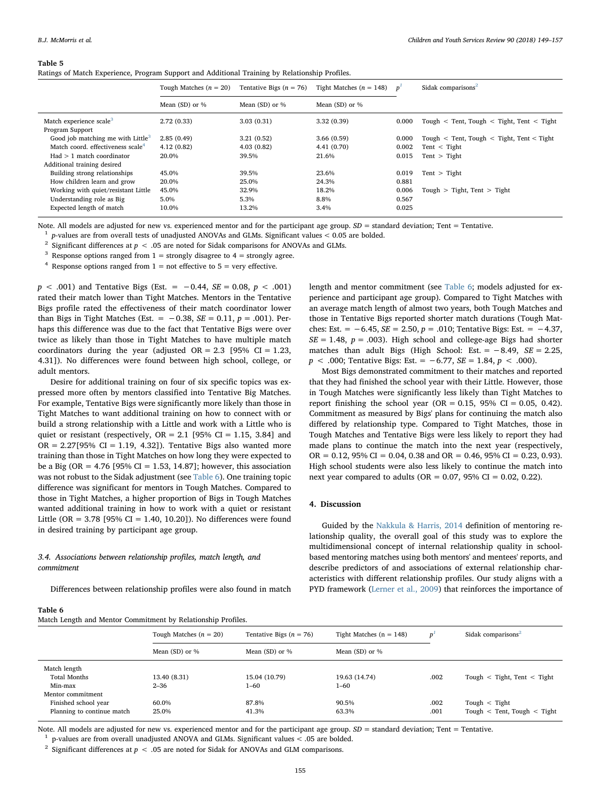### <span id="page-6-0"></span>Table 5

Pro

|  |  |  |  |  | Ratings of Match Experience, Program Support and Additional Training by Relationship Profiles. |
|--|--|--|--|--|------------------------------------------------------------------------------------------------|
|--|--|--|--|--|------------------------------------------------------------------------------------------------|

|                                               | Tough Matches $(n = 20)$ | Tentative Bigs $(n = 76)$ | Tight Matches $(n = 148)$ $p1$ |       | Sidak comparisons <sup>2</sup>                        |
|-----------------------------------------------|--------------------------|---------------------------|--------------------------------|-------|-------------------------------------------------------|
|                                               | Mean $(SD)$ or %         | Mean $(SD)$ or $%$        | Mean $(SD)$ or %               |       |                                                       |
| Match experience scale <sup>3</sup>           | 2.72(0.33)               | 3.03(0.31)                | 3.32(0.39)                     | 0.000 | Tough $\le$ Tent, Tough $\le$ Tight, Tent $\le$ Tight |
| Program Support                               |                          |                           |                                |       |                                                       |
| Good job matching me with Little <sup>3</sup> | 2.85(0.49)               | 3.21(0.52)                | 3.66(0.59)                     | 0.000 | Tough $\le$ Tent, Tough $\le$ Tight, Tent $\le$ Tight |
| Match coord, effectiveness scale <sup>4</sup> | 4.12(0.82)               | 4.03(0.82)                | 4.41 (0.70)                    | 0.002 | Tent < Tight                                          |
| $Had > 1$ match coordinator                   | 20.0%                    | 39.5%                     | 21.6%                          | 0.015 | $Tent$ > $Tight$                                      |
| Additional training desired                   |                          |                           |                                |       |                                                       |
| Building strong relationships                 | 45.0%                    | 39.5%                     | 23.6%                          | 0.019 | $Tent$ > $Tight$                                      |

Note. All models are adjusted for new vs. experienced mentor and for the participant age group.  $SD =$  standard deviation; Tent = Tentative.

Working with quiet/resistant Little 45.0% 32.9% 18.2% 0.006 Tough > Tight, Tent > Tight

<span id="page-6-2"></span><sup>1</sup> p-values are from overall tests of unadjusted ANOVAs and GLMs. Significant values < 0.05 are bolded.

How children learn and grow 20.0% 25.0% 24.3% 0.881

Understanding role as Big 5.0% 5.3% 8.8% 0.567 Expected length of match 10.0% 13.2% 3.4% 0.025

<span id="page-6-3"></span><sup>2</sup> Significant differences at  $p < .05$  are noted for Sidak comparisons for ANOVAs and GLMs.

<span id="page-6-4"></span><sup>3</sup> Response options ranged from  $1 =$  strongly disagree to  $4 =$  strongly agree.

<span id="page-6-5"></span><sup>4</sup> Response options ranged from  $1 = not$  effective to  $5 =$  very effective.

 $p < .001$ ) and Tentative Bigs (Est. = -0.44, SE = 0.08,  $p < .001$ ) rated their match lower than Tight Matches. Mentors in the Tentative Bigs profile rated the effectiveness of their match coordinator lower than Bigs in Tight Matches (Est. =  $-0.38$ ,  $SE = 0.11$ ,  $p = .001$ ). Perhaps this difference was due to the fact that Tentative Bigs were over twice as likely than those in Tight Matches to have multiple match coordinators during the year (adjusted  $OR = 2.3$  [95%  $CI = 1.23$ , 4.31]). No differences were found between high school, college, or adult mentors.

Desire for additional training on four of six specific topics was expressed more often by mentors classified into Tentative Big Matches. For example, Tentative Bigs were significantly more likely than those in Tight Matches to want additional training on how to connect with or build a strong relationship with a Little and work with a Little who is quiet or resistant (respectively,  $OR = 2.1$  [95%  $CI = 1.15$ , 3.84] and  $OR = 2.27[95\% \text{ CI} = 1.19, 4.32]$ . Tentative Bigs also wanted more training than those in Tight Matches on how long they were expected to be a Big (OR =  $4.76$  [95% CI = 1.53, 14.87]; however, this association was not robust to the Sidak adjustment (see [Table 6\)](#page-6-1). One training topic difference was significant for mentors in Tough Matches. Compared to those in Tight Matches, a higher proportion of Bigs in Tough Matches wanted additional training in how to work with a quiet or resistant Little (OR = 3.78 [95% CI = 1.40, 10.20]). No differences were found in desired training by participant age group.

# 3.4. Associations between relationship profiles, match length, and commitment

Differences between relationship profiles were also found in match

length and mentor commitment (see [Table 6](#page-6-1); models adjusted for experience and participant age group). Compared to Tight Matches with an average match length of almost two years, both Tough Matches and those in Tentative Bigs reported shorter match durations (Tough Matches: Est. =  $-6.45$ ,  $SE = 2.50$ ,  $p = .010$ ; Tentative Bigs: Est. =  $-4.37$ ,  $SE = 1.48$ ,  $p = .003$ ). High school and college-age Bigs had shorter matches than adult Bigs (High School: Est. =  $-8.49$ , SE = 2.25,  $p$  < .000; Tentative Bigs: Est. = −6.77, SE = 1.84,  $p$  < .000).

Most Bigs demonstrated commitment to their matches and reported that they had finished the school year with their Little. However, those in Tough Matches were significantly less likely than Tight Matches to report finishing the school year (OR =  $0.15$ , 95% CI = 0.05, 0.42). Commitment as measured by Bigs' plans for continuing the match also differed by relationship type. Compared to Tight Matches, those in Tough Matches and Tentative Bigs were less likely to report they had made plans to continue the match into the next year (respectively,  $OR = 0.12$ , 95% CI = 0.04, 0.38 and OR = 0.46, 95% CI = 0.23, 0.93). High school students were also less likely to continue the match into next year compared to adults (OR =  $0.07$ , 95% CI =  $0.02$ , 0.22).

## 4. Discussion

Guided by the [Nakkula & Harris, 2014](#page-8-24) definition of mentoring relationship quality, the overall goal of this study was to explore the multidimensional concept of internal relationship quality in schoolbased mentoring matches using both mentors' and mentees' reports, and describe predictors of and associations of external relationship characteristics with different relationship profiles. Our study aligns with a PYD framework [\(Lerner et al., 2009\)](#page-8-1) that reinforces the importance of

<span id="page-6-1"></span>

| Table 6 |  |                                                              |  |  |
|---------|--|--------------------------------------------------------------|--|--|
|         |  | Match Length and Mentor Commitment by Relationship Profiles. |  |  |

|                            | Tough Matches $(n = 20)$ | Tight Matches $(n = 148)$<br>Tentative Bigs $(n = 76)$ |                    | $p^{\prime}$ | Sidak comparisons <sup>2</sup>              |  |  |
|----------------------------|--------------------------|--------------------------------------------------------|--------------------|--------------|---------------------------------------------|--|--|
|                            | Mean $(SD)$ or $%$       | Mean $(SD)$ or $%$                                     | Mean $(SD)$ or $%$ |              |                                             |  |  |
| Match length               |                          |                                                        |                    |              |                                             |  |  |
| Total Months               | 13.40 (8.31)             | 15.04 (10.79)                                          | 19.63 (14.74)      | .002         | Tough $\langle$ Tight, Tent $\langle$ Tight |  |  |
| Min-max                    | $2 - 36$                 | $1 - 60$                                               | $1 - 60$           |              |                                             |  |  |
| Mentor commitment          |                          |                                                        |                    |              |                                             |  |  |
| Finished school year       | 60.0%                    | 87.8%                                                  | 90.5%              | .002         | Tough $\langle$ Tight                       |  |  |
| Planning to continue match | 25.0%                    | 41.3%                                                  | 63.3%              | .001         | Tough $\le$ Tent, Tough $\le$ Tight         |  |  |
|                            |                          |                                                        |                    |              |                                             |  |  |

Note. All models are adjusted for new vs. experienced mentor and for the participant age group.  $SD =$  standard deviation; Tent = Tentative.

<span id="page-6-6"></span><sup>1</sup> p-values are from overall unadjusted ANOVA and GLMs. Significant values < .05 are bolded.

<span id="page-6-7"></span><sup>2</sup> Significant differences at  $p < .05$  are noted for Sidak for ANOVAs and GLM comparisons.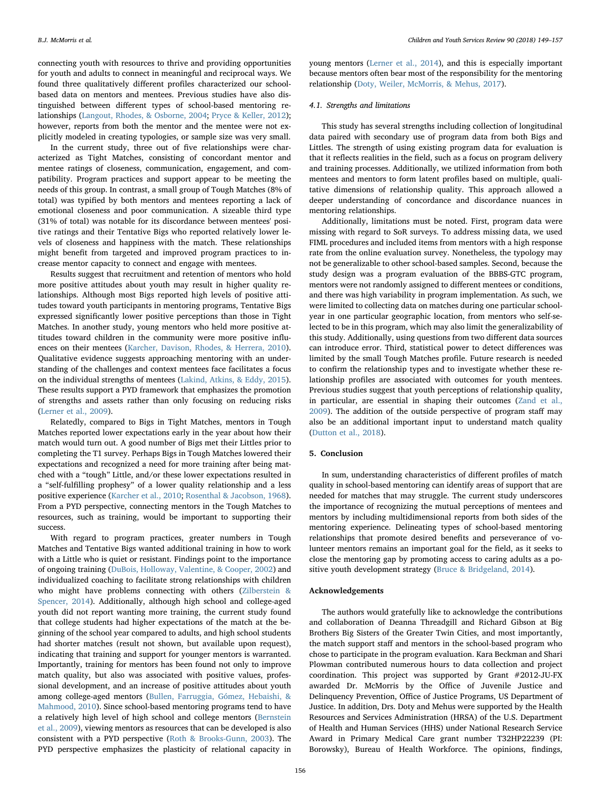connecting youth with resources to thrive and providing opportunities for youth and adults to connect in meaningful and reciprocal ways. We found three qualitatively different profiles characterized our schoolbased data on mentors and mentees. Previous studies have also distinguished between different types of school-based mentoring relationships [\(Langout, Rhodes, & Osborne, 2004](#page-8-39); [Pryce & Keller, 2012](#page-8-33)); however, reports from both the mentor and the mentee were not explicitly modeled in creating typologies, or sample size was very small.

In the current study, three out of five relationships were characterized as Tight Matches, consisting of concordant mentor and mentee ratings of closeness, communication, engagement, and compatibility. Program practices and support appear to be meeting the needs of this group. In contrast, a small group of Tough Matches (8% of total) was typified by both mentors and mentees reporting a lack of emotional closeness and poor communication. A sizeable third type (31% of total) was notable for its discordance between mentees' positive ratings and their Tentative Bigs who reported relatively lower levels of closeness and happiness with the match. These relationships might benefit from targeted and improved program practices to increase mentor capacity to connect and engage with mentees.

Results suggest that recruitment and retention of mentors who hold more positive attitudes about youth may result in higher quality relationships. Although most Bigs reported high levels of positive attitudes toward youth participants in mentoring programs, Tentative Bigs expressed significantly lower positive perceptions than those in Tight Matches. In another study, young mentors who held more positive attitudes toward children in the community were more positive influences on their mentees ([Karcher, Davison, Rhodes, & Herrera, 2010](#page-8-40)). Qualitative evidence suggests approaching mentoring with an understanding of the challenges and context mentees face facilitates a focus on the individual strengths of mentees [\(Lakind, Atkins, & Eddy, 2015](#page-8-41)). These results support a PYD framework that emphasizes the promotion of strengths and assets rather than only focusing on reducing risks ([Lerner et al., 2009\)](#page-8-1).

Relatedly, compared to Bigs in Tight Matches, mentors in Tough Matches reported lower expectations early in the year about how their match would turn out. A good number of Bigs met their Littles prior to completing the T1 survey. Perhaps Bigs in Tough Matches lowered their expectations and recognized a need for more training after being matched with a "tough" Little, and/or these lower expectations resulted in a "self-fulfilling prophesy" of a lower quality relationship and a less positive experience [\(Karcher et al., 2010;](#page-8-40) [Rosenthal & Jacobson, 1968](#page-8-42)). From a PYD perspective, connecting mentors in the Tough Matches to resources, such as training, would be important to supporting their success.

With regard to program practices, greater numbers in Tough Matches and Tentative Bigs wanted additional training in how to work with a Little who is quiet or resistant. Findings point to the importance of ongoing training [\(DuBois, Holloway, Valentine, & Cooper, 2002\)](#page-8-43) and individualized coaching to facilitate strong relationships with children who might have problems connecting with others [\(Zilberstein &](#page-8-44) [Spencer, 2014](#page-8-44)). Additionally, although high school and college-aged youth did not report wanting more training, the current study found that college students had higher expectations of the match at the beginning of the school year compared to adults, and high school students had shorter matches (result not shown, but available upon request), indicating that training and support for younger mentors is warranted. Importantly, training for mentors has been found not only to improve match quality, but also was associated with positive values, professional development, and an increase of positive attitudes about youth among college-aged mentors ([Bullen, Farruggia, Gómez, Hebaishi, &](#page-8-45) [Mahmood, 2010](#page-8-45)). Since school-based mentoring programs tend to have a relatively high level of high school and college mentors ([Bernstein](#page-8-5) [et al., 2009\)](#page-8-5), viewing mentors as resources that can be developed is also consistent with a PYD perspective [\(Roth & Brooks-Gunn, 2003\)](#page-8-46). The PYD perspective emphasizes the plasticity of relational capacity in

young mentors ([Lerner et al., 2014\)](#page-8-18), and this is especially important because mentors often bear most of the responsibility for the mentoring relationship [\(Doty, Weiler, McMorris, & Mehus, 2017\)](#page-8-47).

#### 4.1. Strengths and limitations

This study has several strengths including collection of longitudinal data paired with secondary use of program data from both Bigs and Littles. The strength of using existing program data for evaluation is that it reflects realities in the field, such as a focus on program delivery and training processes. Additionally, we utilized information from both mentees and mentors to form latent profiles based on multiple, qualitative dimensions of relationship quality. This approach allowed a deeper understanding of concordance and discordance nuances in mentoring relationships.

Additionally, limitations must be noted. First, program data were missing with regard to SoR surveys. To address missing data, we used FIML procedures and included items from mentors with a high response rate from the online evaluation survey. Nonetheless, the typology may not be generalizable to other school-based samples. Second, because the study design was a program evaluation of the BBBS-GTC program, mentors were not randomly assigned to different mentees or conditions, and there was high variability in program implementation. As such, we were limited to collecting data on matches during one particular schoolyear in one particular geographic location, from mentors who self-selected to be in this program, which may also limit the generalizability of this study. Additionally, using questions from two different data sources can introduce error. Third, statistical power to detect differences was limited by the small Tough Matches profile. Future research is needed to confirm the relationship types and to investigate whether these relationship profiles are associated with outcomes for youth mentees. Previous studies suggest that youth perceptions of relationship quality, in particular, are essential in shaping their outcomes ([Zand et al.,](#page-8-48) [2009\)](#page-8-48). The addition of the outside perspective of program staff may also be an additional important input to understand match quality ([Dutton et al., 2018](#page-8-34)).

# 5. Conclusion

In sum, understanding characteristics of different profiles of match quality in school-based mentoring can identify areas of support that are needed for matches that may struggle. The current study underscores the importance of recognizing the mutual perceptions of mentees and mentors by including multidimensional reports from both sides of the mentoring experience. Delineating types of school-based mentoring relationships that promote desired benefits and perseverance of volunteer mentors remains an important goal for the field, as it seeks to close the mentoring gap by promoting access to caring adults as a positive youth development strategy [\(Bruce & Bridgeland, 2014](#page-8-49)).

## Acknowledgements

The authors would gratefully like to acknowledge the contributions and collaboration of Deanna Threadgill and Richard Gibson at Big Brothers Big Sisters of the Greater Twin Cities, and most importantly, the match support staff and mentors in the school-based program who chose to participate in the program evaluation. Kara Beckman and Shari Plowman contributed numerous hours to data collection and project coordination. This project was supported by Grant #2012-JU-FX awarded Dr. McMorris by the Office of Juvenile Justice and Delinquency Prevention, Office of Justice Programs, US Department of Justice. In addition, Drs. Doty and Mehus were supported by the Health Resources and Services Administration (HRSA) of the U.S. Department of Health and Human Services (HHS) under National Research Service Award in Primary Medical Care grant number T32HP22239 (PI: Borowsky), Bureau of Health Workforce. The opinions, findings,